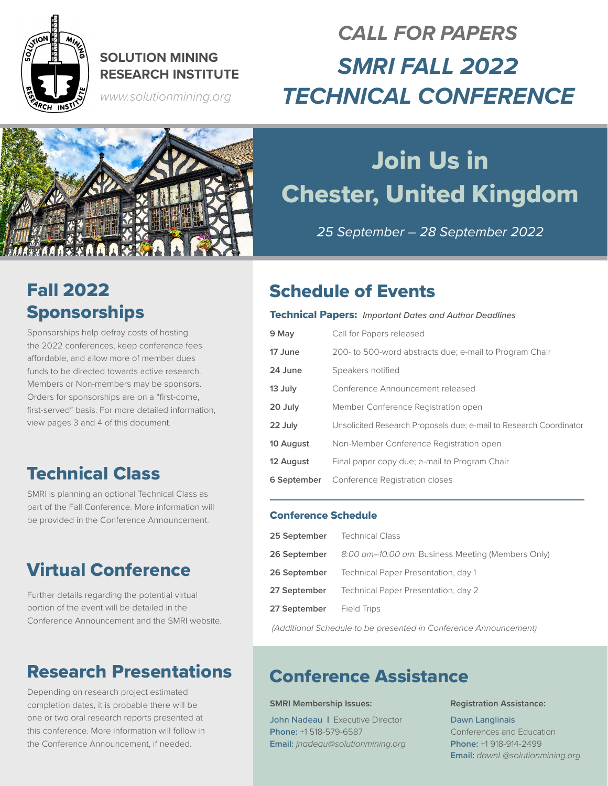

### **SOLUTION MINING RESEARCH INSTITUTE**

*www.solutionmining.org*

## *CALL FOR PAPERS SMRI FALL 2022 TECHNICAL CONFERENCE*



# Join Us in Chester, United Kingdom

*25 September – 28 September 2022*

## Fall 2022 **Sponsorships**

Sponsorships help defray costs of hosting the 2022 conferences, keep conference fees affordable, and allow more of member dues funds to be directed towards active research. Members or Non-members may be sponsors. Orders for sponsorships are on a "first-come, first-served" basis. For more detailed information, view pages 3 and 4 of this document.

## Technical Class

SMRI is planning an optional Technical Class as part of the Fall Conference. More information will be provided in the Conference Announcement.

## Virtual Conference

Further details regarding the potential virtual portion of the event will be detailed in the Conference Announcement and the SMRI website.

## Research Presentations

Depending on research project estimated completion dates, it is probable there will be one or two oral research reports presented at this conference. More information will follow in the Conference Announcement, if needed.

## Schedule of Events

### Technical Papers: *Important Dates and Author Deadlines*

| 9 May       | Call for Papers released                                           |
|-------------|--------------------------------------------------------------------|
| 17 June     | 200- to 500-word abstracts due; e-mail to Program Chair            |
| 24 June     | Speakers notified                                                  |
| 13 July     | Conference Announcement released                                   |
| 20 July     | Member Conference Registration open                                |
| 22 July     | Unsolicited Research Proposals due; e-mail to Research Coordinator |
| 10 August   | Non-Member Conference Registration open                            |
| 12 August   | Final paper copy due; e-mail to Program Chair                      |
| 6 September | Conference Registration closes                                     |

### Conference Schedule

| 25 September | <b>Technical Class</b>                            |
|--------------|---------------------------------------------------|
| 26 September | 8:00 am-10:00 am: Business Meeting (Members Only) |
| 26 September | Technical Paper Presentation, day 1               |
| 27 September | Technical Paper Presentation, day 2               |
| 27 September | <b>Field Trips</b>                                |
|              |                                                   |

*(Additional Schedule to be presented in Conference Announcement)*

### Conference Assistance

### **SMRI Membership Issues:**

John Nadeau | Executive Director **Phone:** +1 518-579-6587 **Email:** *jnadeau@solutionmining.org*

### **Registration Assistance:**

Dawn Langlinais Conferences and Education **Phone:** +1 918-914-2499 **Email:** *dawnL@solutionmining.org*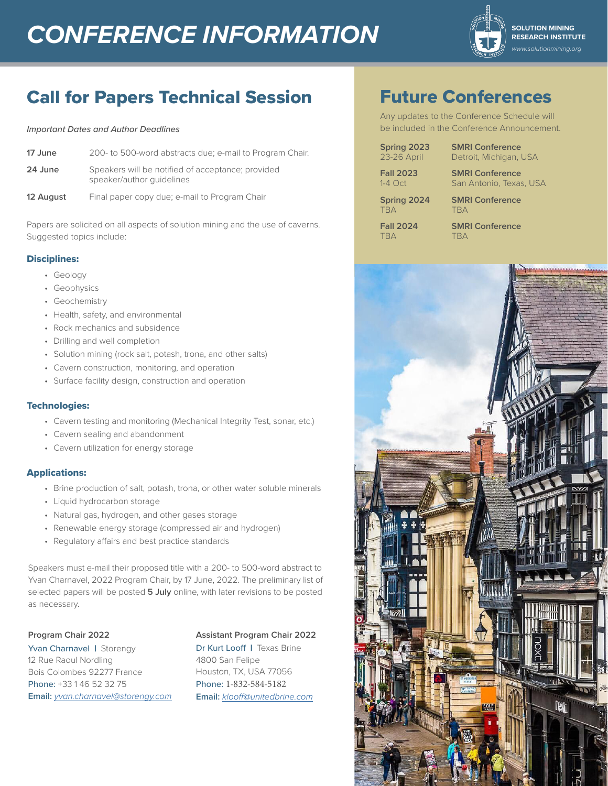## **CONFERENCE INFORMATION SOLUTION MINING**



## Call for Papers Technical Session

#### *Important Dates and Author Deadlines*

| 17 June   | 200- to 500-word abstracts due; e-mail to Program Chair.                       |
|-----------|--------------------------------------------------------------------------------|
| 24 June   | Speakers will be notified of acceptance; provided<br>speaker/author quidelines |
| 12 August | Final paper copy due; e-mail to Program Chair                                  |

Papers are solicited on all aspects of solution mining and the use of caverns. Suggested topics include:

### Disciplines:

- Geology
- Geophysics
- Geochemistry
- Health, safety, and environmental
- Rock mechanics and subsidence
- Drilling and well completion
- Solution mining (rock salt, potash, trona, and other salts)
- Cavern construction, monitoring, and operation
- Surface facility design, construction and operation

### Technologies:

- Cavern testing and monitoring (Mechanical Integrity Test, sonar, etc.)
- Cavern sealing and abandonment
- Cavern utilization for energy storage

### Applications:

- Brine production of salt, potash, trona, or other water soluble minerals
- Liquid hydrocarbon storage
- Natural gas, hydrogen, and other gases storage
- Renewable energy storage (compressed air and hydrogen)
- Regulatory affairs and best practice standards

Speakers must e-mail their proposed title with a 200- to 500-word abstract to Yvan Charnavel, 2022 Program Chair, by 17 June, 2022. The preliminary list of selected papers will be posted **5 July** online, with later revisions to be posted as necessary.

### **Program Chair 2022**

Yvan Charnavel | Storengy 12 Rue Raoul Nordling Bois Colombes 92277 France Phone: +33 1 46 52 32 75 **Email:** *[yvan.charnavel@storengy.com](mailto:yvan.charnavel@storengy.com)*

### **Assistant Program Chair 2022**

Dr Kurt Looff | Texas Brine 4800 San Felipe Houston, TX, USA 77056 Phone: 1-832-584-5182 **Email:** *[klooff@unitedbrine.com](mailto:klooff%40unitedbrine.com?subject=)*

## Future Conferences

Any updates to the Conference Schedule will be included in the Conference Announcement.

**Spring 2023 <b>SMRI Conference**<br>23-26 April Detroit, Michigan, I

**Fall 2023 SMRI Conference** 1-4 Oct San Antonio, Texas, USA

TBA TBA

**Spring 2024 SMRI Conference**

Detroit, Michigan, USA

**Fall 2024 SMRI Conference** TBA

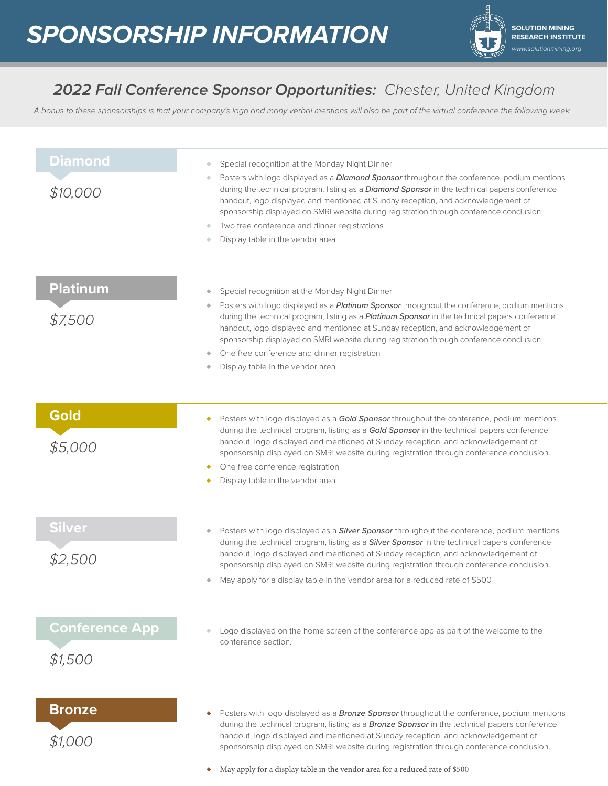

### *2022 Fall Conference Sponsor Opportunities: Chester, United Kingdom*

*A bonus to these sponsorships is that your company's logo and many verbal mentions will also be part of the virtual conference the following week.* 

| <b>Diamond</b><br>\$10,000       | Special recognition at the Monday Night Dinner<br>Posters with logo displayed as a <b>Diamond Sponsor</b> throughout the conference, podium mentions<br>during the technical program, listing as a <b>Diamond Sponsor</b> in the technical papers conference<br>handout, logo displayed and mentioned at Sunday reception, and acknowledgement of<br>sponsorship displayed on SMRI website during registration through conference conclusion.<br>Two free conference and dinner registrations<br>Display table in the vendor area            |
|----------------------------------|----------------------------------------------------------------------------------------------------------------------------------------------------------------------------------------------------------------------------------------------------------------------------------------------------------------------------------------------------------------------------------------------------------------------------------------------------------------------------------------------------------------------------------------------|
| <b>Platinum</b><br>\$7,500       | Special recognition at the Monday Night Dinner<br>۰<br>Posters with logo displayed as a <i>Platinum Sponsor</i> throughout the conference, podium mentions<br>٠<br>during the technical program, listing as a <b>Platinum Sponsor</b> in the technical papers conference<br>handout, logo displayed and mentioned at Sunday reception, and acknowledgement of<br>sponsorship displayed on SMRI website during registration through conference conclusion.<br>One free conference and dinner registration<br>Display table in the vendor area |
| Gold<br>\$5,000                  | Posters with logo displayed as a Gold Sponsor throughout the conference, podium mentions<br>٠<br>during the technical program, listing as a Gold Sponsor in the technical papers conference<br>handout, logo displayed and mentioned at Sunday reception, and acknowledgement of<br>sponsorship displayed on SMRI website during registration through conference conclusion.<br>One free conference registration<br>Display table in the vendor area                                                                                         |
| Silver<br>\$2,500                | Posters with logo displayed as a <i>Silver Sponsor</i> throughout the conference, podium mentions<br>۰<br>during the technical program, listing as a <i>Silver Sponsor</i> in the technical papers conference<br>handout, logo displayed and mentioned at Sunday reception, and acknowledgement of<br>sponsorship displayed on SMRI website during registration through conference conclusion.<br>May apply for a display table in the vendor area for a reduced rate of \$500                                                               |
| <b>Conference App</b><br>\$1,500 | Logo displayed on the home screen of the conference app as part of the welcome to the<br>conference section.                                                                                                                                                                                                                                                                                                                                                                                                                                 |
| <b>Bronze</b><br>\$1,000         | Posters with logo displayed as a <b>Bronze Sponsor</b> throughout the conference, podium mentions<br>۰<br>during the technical program, listing as a <b>Bronze Sponsor</b> in the technical papers conference<br>handout, logo displayed and mentioned at Sunday reception, and acknowledgement of<br>sponsorship displayed on SMRI website during registration through conference conclusion.<br>May apply for a display table in the vendor area for a reduced rate of \$500                                                               |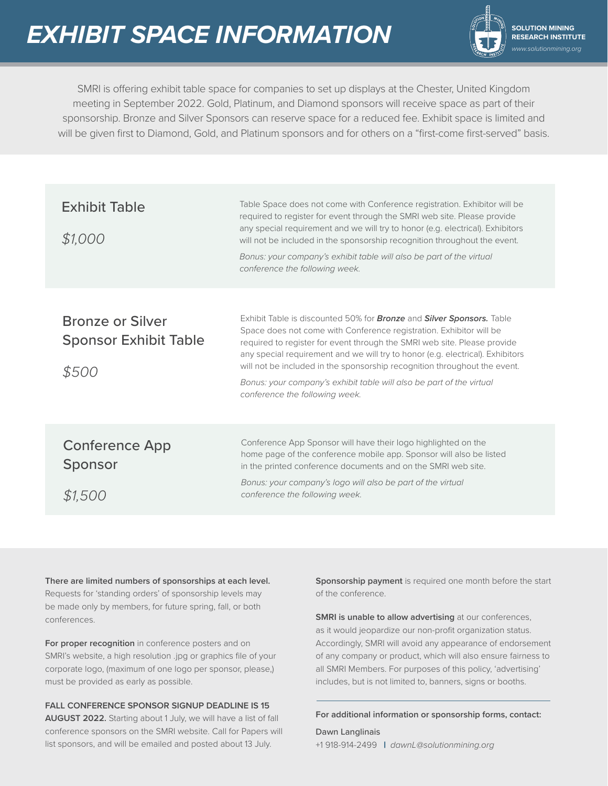

**RESEARCH INSTITUTE** *www.solutionmining.org*

SMRI is offering exhibit table space for companies to set up displays at the Chester, United Kingdom meeting in September 2022. Gold, Platinum, and Diamond sponsors will receive space as part of their sponsorship. Bronze and Silver Sponsors can reserve space for a reduced fee. Exhibit space is limited and will be given first to Diamond, Gold, and Platinum sponsors and for others on a "first-come first-served" basis.

| <b>Exhibit Table</b><br>\$1,000                                  | Table Space does not come with Conference registration. Exhibitor will be<br>required to register for event through the SMRI web site. Please provide<br>any special requirement and we will try to honor (e.g. electrical). Exhibitors<br>will not be included in the sponsorship recognition throughout the event.<br>Bonus: your company's exhibit table will also be part of the virtual<br>conference the following week.                                                                                  |
|------------------------------------------------------------------|-----------------------------------------------------------------------------------------------------------------------------------------------------------------------------------------------------------------------------------------------------------------------------------------------------------------------------------------------------------------------------------------------------------------------------------------------------------------------------------------------------------------|
| <b>Bronze or Silver</b><br><b>Sponsor Exhibit Table</b><br>\$500 | Exhibit Table is discounted 50% for <b>Bronze</b> and <b>Silver Sponsors.</b> Table<br>Space does not come with Conference registration. Exhibitor will be<br>required to register for event through the SMRI web site. Please provide<br>any special requirement and we will try to honor (e.g. electrical). Exhibitors<br>will not be included in the sponsorship recognition throughout the event.<br>Bonus: your company's exhibit table will also be part of the virtual<br>conference the following week. |
| <b>Conference App</b><br>Sponsor<br>\$1500                       | Conference App Sponsor will have their logo highlighted on the<br>home page of the conference mobile app. Sponsor will also be listed<br>in the printed conference documents and on the SMRI web site.<br>Bonus: your company's logo will also be part of the virtual<br>conference the following week.                                                                                                                                                                                                         |

**There are limited numbers of sponsorships at each level.** Requests for 'standing orders' of sponsorship levels may be made only by members, for future spring, fall, or both conferences.

**For proper recognition** in conference posters and on SMRI's website, a high resolution .jpg or graphics file of your corporate logo, (maximum of one logo per sponsor, please,) must be provided as early as possible.

**FALL CONFERENCE SPONSOR SIGNUP DEADLINE IS 15 AUGUST 2022.** Starting about 1 July, we will have a list of fall conference sponsors on the SMRI website. Call for Papers will list sponsors, and will be emailed and posted about 13 July.

**Sponsorship payment** is required one month before the start of the conference.

**SMRI is unable to allow advertising** at our conferences, as it would jeopardize our non-profit organization status. Accordingly, SMRI will avoid any appearance of endorsement of any company or product, which will also ensure fairness to all SMRI Members. For purposes of this policy, 'advertising' includes, but is not limited to, banners, signs or booths.

#### **For additional information or sponsorship forms, contact:**

Dawn Langlinais +1 918-914-2499 | *dawnL@solutionmining.org*